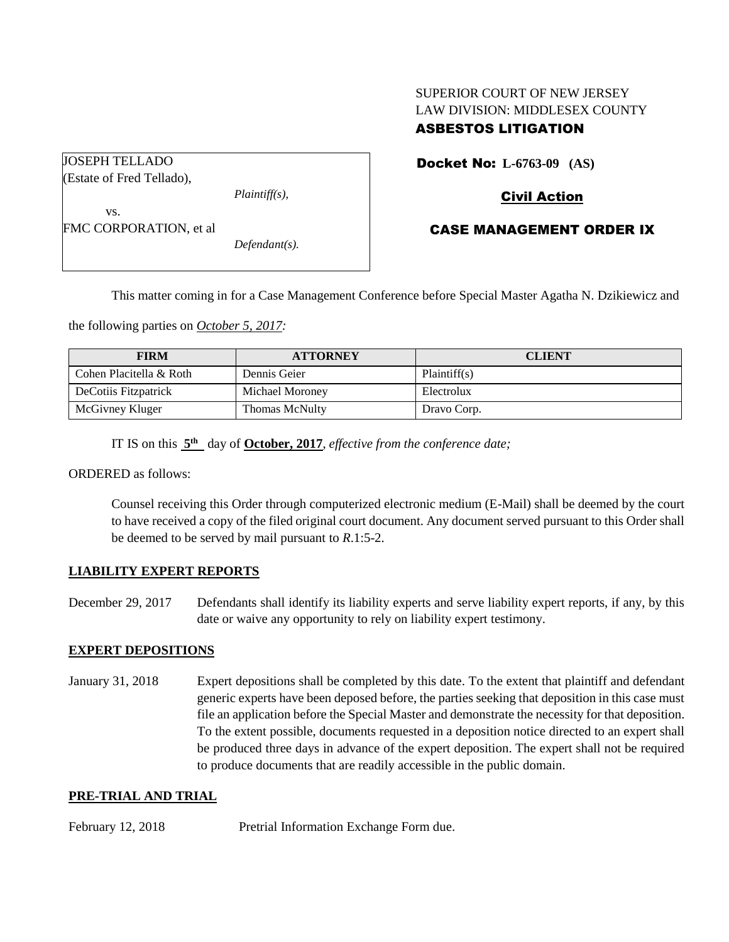# SUPERIOR COURT OF NEW JERSEY LAW DIVISION: MIDDLESEX COUNTY ASBESTOS LITIGATION

JOSEPH TELLADO (Estate of Fred Tellado), *Plaintiff(s),* vs. FMC CORPORATION, et al

*Defendant(s).*

Docket No: **L-6763-09 (AS)** 

## Civil Action

### CASE MANAGEMENT ORDER IX

This matter coming in for a Case Management Conference before Special Master Agatha N. Dzikiewicz and

the following parties on *October 5, 2017:*

| <b>FIRM</b>             | <b>ATTORNEY</b>       | <b>CLIENT</b> |
|-------------------------|-----------------------|---------------|
| Cohen Placitella & Roth | Dennis Geier          | Plaintiff(s)  |
| DeCotiis Fitzpatrick    | Michael Moroney       | Electrolux    |
| McGivney Kluger         | <b>Thomas McNulty</b> | Dravo Corp.   |

IT IS on this  $5<sup>th</sup>$  day of **October, 2017**, *effective from the conference date*;

ORDERED as follows:

Counsel receiving this Order through computerized electronic medium (E-Mail) shall be deemed by the court to have received a copy of the filed original court document. Any document served pursuant to this Order shall be deemed to be served by mail pursuant to *R*.1:5-2.

### **LIABILITY EXPERT REPORTS**

December 29, 2017 Defendants shall identify its liability experts and serve liability expert reports, if any, by this date or waive any opportunity to rely on liability expert testimony.

### **EXPERT DEPOSITIONS**

January 31, 2018 Expert depositions shall be completed by this date. To the extent that plaintiff and defendant generic experts have been deposed before, the parties seeking that deposition in this case must file an application before the Special Master and demonstrate the necessity for that deposition. To the extent possible, documents requested in a deposition notice directed to an expert shall be produced three days in advance of the expert deposition. The expert shall not be required to produce documents that are readily accessible in the public domain.

#### **PRE-TRIAL AND TRIAL**

February 12, 2018 Pretrial Information Exchange Form due.